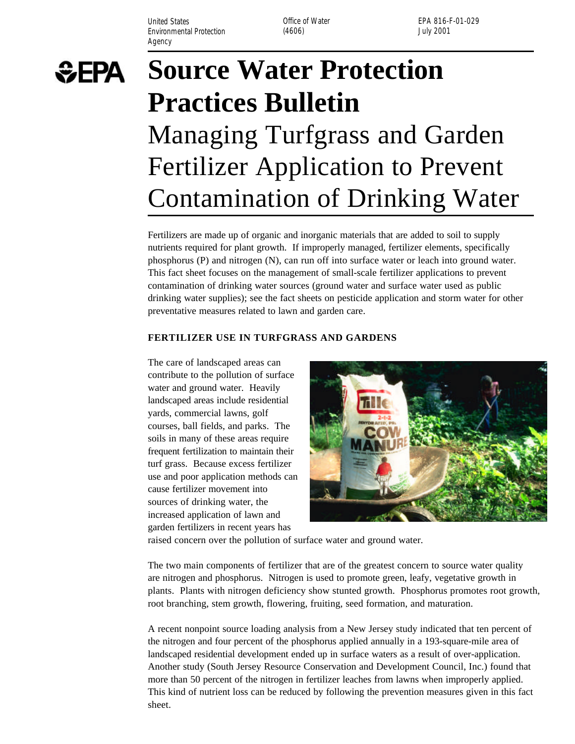United States **Office of Water** Environmental Protection (4606) (3606) and the University of the University of the University of the University of the University of the University of the University of the University of the University of the University of Agency

EPA 816-F-01-029



# **Source Water Protection Practices Bulletin**  Managing Turfgrass and Garden Fertilizer Application to Prevent Contamination of Drinking Water

Fertilizers are made up of organic and inorganic materials that are added to soil to supply nutrients required for plant growth. If improperly managed, fertilizer elements, specifically phosphorus (P) and nitrogen (N), can run off into surface water or leach into ground water. This fact sheet focuses on the management of small-scale fertilizer applications to prevent contamination of drinking water sources (ground water and surface water used as public drinking water supplies); see the fact sheets on pesticide application and storm water for other preventative measures related to lawn and garden care.

#### **FERTILIZER USE IN TURFGRASS AND GARDENS**

The care of landscaped areas can contribute to the pollution of surface water and ground water. Heavily landscaped areas include residential yards, commercial lawns, golf courses, ball fields, and parks. The soils in many of these areas require frequent fertilization to maintain their turf grass. Because excess fertilizer use and poor application methods can cause fertilizer movement into sources of drinking water, the increased application of lawn and garden fertilizers in recent years has



raised concern over the pollution of surface water and ground water.

The two main components of fertilizer that are of the greatest concern to source water quality are nitrogen and phosphorus. Nitrogen is used to promote green, leafy, vegetative growth in plants. Plants with nitrogen deficiency show stunted growth. Phosphorus promotes root growth, root branching, stem growth, flowering, fruiting, seed formation, and maturation.

A recent nonpoint source loading analysis from a New Jersey study indicated that ten percent of the nitrogen and four percent of the phosphorus applied annually in a 193-square-mile area of landscaped residential development ended up in surface waters as a result of over-application. Another study (South Jersey Resource Conservation and Development Council, Inc.) found that more than 50 percent of the nitrogen in fertilizer leaches from lawns when improperly applied. This kind of nutrient loss can be reduced by following the prevention measures given in this fact sheet.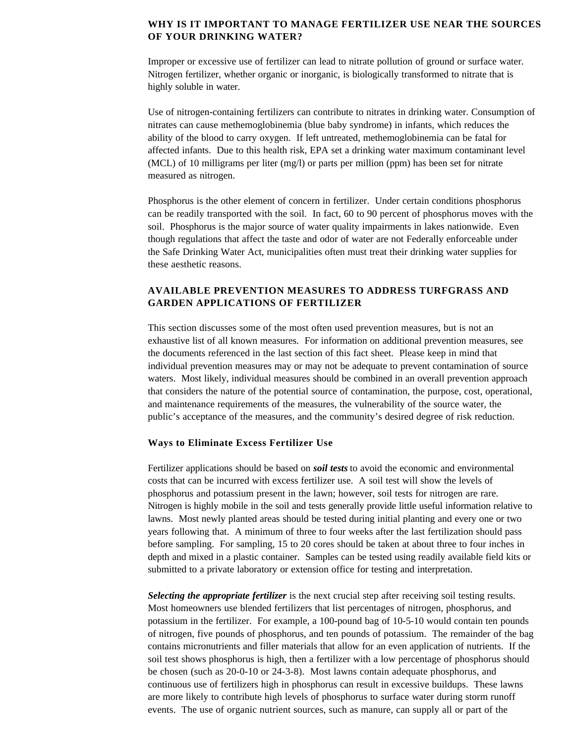### **WHY IS IT IMPORTANT TO MANAGE FERTILIZER USE NEAR THE SOURCES OF YOUR DRINKING WATER?**

Improper or excessive use of fertilizer can lead to nitrate pollution of ground or surface water. Nitrogen fertilizer, whether organic or inorganic, is biologically transformed to nitrate that is highly soluble in water.

Use of nitrogen-containing fertilizers can contribute to nitrates in drinking water. Consumption of nitrates can cause methemoglobinemia (blue baby syndrome) in infants, which reduces the ability of the blood to carry oxygen. If left untreated, methemoglobinemia can be fatal for affected infants. Due to this health risk, EPA set a drinking water maximum contaminant level (MCL) of 10 milligrams per liter (mg/l) or parts per million (ppm) has been set for nitrate measured as nitrogen.

Phosphorus is the other element of concern in fertilizer. Under certain conditions phosphorus can be readily transported with the soil. In fact, 60 to 90 percent of phosphorus moves with the soil. Phosphorus is the major source of water quality impairments in lakes nationwide. Even though regulations that affect the taste and odor of water are not Federally enforceable under the Safe Drinking Water Act, municipalities often must treat their drinking water supplies for these aesthetic reasons.

## **AVAILABLE PREVENTION MEASURES TO ADDRESS TURFGRASS AND GARDEN APPLICATIONS OF FERTILIZER**

This section discusses some of the most often used prevention measures, but is not an exhaustive list of all known measures. For information on additional prevention measures, see the documents referenced in the last section of this fact sheet. Please keep in mind that individual prevention measures may or may not be adequate to prevent contamination of source waters. Most likely, individual measures should be combined in an overall prevention approach that considers the nature of the potential source of contamination, the purpose, cost, operational, and maintenance requirements of the measures, the vulnerability of the source water, the public's acceptance of the measures, and the community's desired degree of risk reduction.

#### **Ways to Eliminate Excess Fertilizer Use**

Fertilizer applications should be based on *soil tests* to avoid the economic and environmental costs that can be incurred with excess fertilizer use. A soil test will show the levels of phosphorus and potassium present in the lawn; however, soil tests for nitrogen are rare. Nitrogen is highly mobile in the soil and tests generally provide little useful information relative to lawns. Most newly planted areas should be tested during initial planting and every one or two years following that. A minimum of three to four weeks after the last fertilization should pass before sampling. For sampling, 15 to 20 cores should be taken at about three to four inches in depth and mixed in a plastic container. Samples can be tested using readily available field kits or submitted to a private laboratory or extension office for testing and interpretation.

*Selecting the appropriate fertilizer* is the next crucial step after receiving soil testing results. Most homeowners use blended fertilizers that list percentages of nitrogen, phosphorus, and potassium in the fertilizer. For example, a 100-pound bag of 10-5-10 would contain ten pounds of nitrogen, five pounds of phosphorus, and ten pounds of potassium. The remainder of the bag contains micronutrients and filler materials that allow for an even application of nutrients. If the soil test shows phosphorus is high, then a fertilizer with a low percentage of phosphorus should be chosen (such as 20-0-10 or 24-3-8). Most lawns contain adequate phosphorus, and continuous use of fertilizers high in phosphorus can result in excessive buildups. These lawns are more likely to contribute high levels of phosphorus to surface water during storm runoff events. The use of organic nutrient sources, such as manure, can supply all or part of the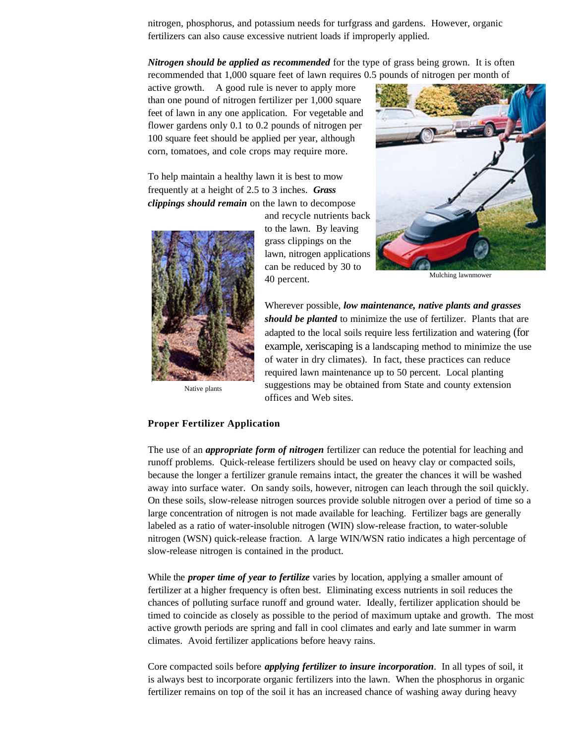nitrogen, phosphorus, and potassium needs for turfgrass and gardens. However, organic fertilizers can also cause excessive nutrient loads if improperly applied.

*Nitrogen should be applied as recommended* for the type of grass being grown. It is often recommended that 1,000 square feet of lawn requires 0.5 pounds of nitrogen per month of

active growth. A good rule is never to apply more than one pound of nitrogen fertilizer per 1,000 square feet of lawn in any one application. For vegetable and flower gardens only 0.1 to 0.2 pounds of nitrogen per 100 square feet should be applied per year, although corn, tomatoes, and cole crops may require more.

To help maintain a healthy lawn it is best to mow frequently at a height of 2.5 to 3 inches. *Grass clippings should remain* on the lawn to decompose



Native plants

and recycle nutrients back to the lawn. By leaving grass clippings on the lawn, nitrogen applications can be reduced by 30 to 40 percent. Mulching lawnmower



Wherever possible, *low maintenance, native plants and grasses should be planted* to minimize the use of fertilizer. Plants that are adapted to the local soils require less fertilization and watering (for example, xeriscaping is a landscaping method to minimize the use of water in dry climates). In fact, these practices can reduce required lawn maintenance up to 50 percent. Local planting suggestions may be obtained from State and county extension offices and Web sites.

## **Proper Fertilizer Application**

The use of an *appropriate form of nitrogen* fertilizer can reduce the potential for leaching and runoff problems. Quick-release fertilizers should be used on heavy clay or compacted soils, because the longer a fertilizer granule remains intact, the greater the chances it will be washed away into surface water. On sandy soils, however, nitrogen can leach through the soil quickly. On these soils, slow-release nitrogen sources provide soluble nitrogen over a period of time so a large concentration of nitrogen is not made available for leaching. Fertilizer bags are generally labeled as a ratio of water-insoluble nitrogen (WIN) slow-release fraction, to water-soluble nitrogen (WSN) quick-release fraction. A large WIN/WSN ratio indicates a high percentage of slow-release nitrogen is contained in the product.

While the *proper time of year to fertilize* varies by location, applying a smaller amount of fertilizer at a higher frequency is often best. Eliminating excess nutrients in soil reduces the chances of polluting surface runoff and ground water. Ideally, fertilizer application should be timed to coincide as closely as possible to the period of maximum uptake and growth. The most active growth periods are spring and fall in cool climates and early and late summer in warm climates. Avoid fertilizer applications before heavy rains.

Core compacted soils before *applying fertilizer to insure incorporation*. In all types of soil, it is always best to incorporate organic fertilizers into the lawn. When the phosphorus in organic fertilizer remains on top of the soil it has an increased chance of washing away during heavy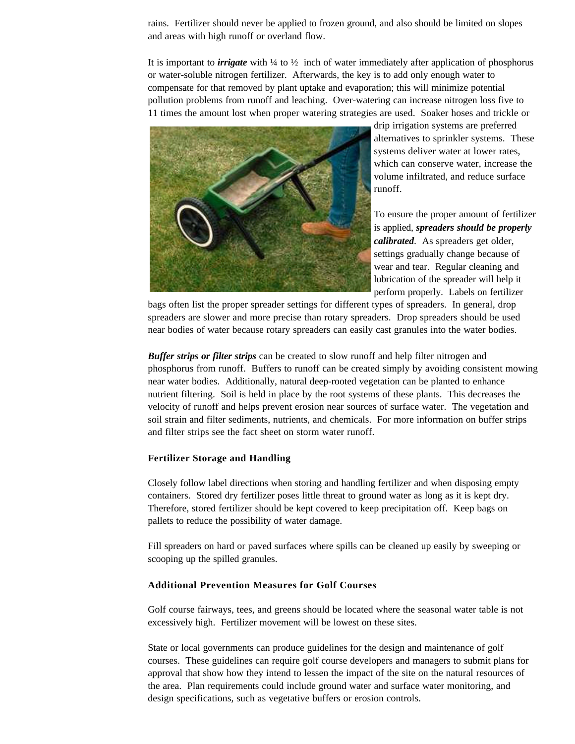rains. Fertilizer should never be applied to frozen ground, and also should be limited on slopes and areas with high runoff or overland flow.

It is important to *irrigate* with ¼ to ½ inch of water immediately after application of phosphorus or water-soluble nitrogen fertilizer. Afterwards, the key is to add only enough water to compensate for that removed by plant uptake and evaporation; this will minimize potential pollution problems from runoff and leaching. Over-watering can increase nitrogen loss five to 11 times the amount lost when proper watering strategies are used. Soaker hoses and trickle or



drip irrigation systems are preferred alternatives to sprinkler systems. These systems deliver water at lower rates, which can conserve water, increase the volume infiltrated, and reduce surface runoff.

To ensure the proper amount of fertilizer is applied, *spreaders should be properly calibrated*. As spreaders get older, settings gradually change because of wear and tear. Regular cleaning and lubrication of the spreader will help it perform properly. Labels on fertilizer

bags often list the proper spreader settings for different types of spreaders. In general, drop spreaders are slower and more precise than rotary spreaders. Drop spreaders should be used near bodies of water because rotary spreaders can easily cast granules into the water bodies.

*Buffer strips or filter strips* can be created to slow runoff and help filter nitrogen and phosphorus from runoff. Buffers to runoff can be created simply by avoiding consistent mowing near water bodies. Additionally, natural deep-rooted vegetation can be planted to enhance nutrient filtering. Soil is held in place by the root systems of these plants. This decreases the velocity of runoff and helps prevent erosion near sources of surface water. The vegetation and soil strain and filter sediments, nutrients, and chemicals. For more information on buffer strips and filter strips see the fact sheet on storm water runoff.

#### **Fertilizer Storage and Handling**

Closely follow label directions when storing and handling fertilizer and when disposing empty containers. Stored dry fertilizer poses little threat to ground water as long as it is kept dry. Therefore, stored fertilizer should be kept covered to keep precipitation off. Keep bags on pallets to reduce the possibility of water damage.

Fill spreaders on hard or paved surfaces where spills can be cleaned up easily by sweeping or scooping up the spilled granules.

#### **Additional Prevention Measures for Golf Courses**

Golf course fairways, tees, and greens should be located where the seasonal water table is not excessively high. Fertilizer movement will be lowest on these sites.

State or local governments can produce guidelines for the design and maintenance of golf courses. These guidelines can require golf course developers and managers to submit plans for approval that show how they intend to lessen the impact of the site on the natural resources of the area. Plan requirements could include ground water and surface water monitoring, and design specifications, such as vegetative buffers or erosion controls.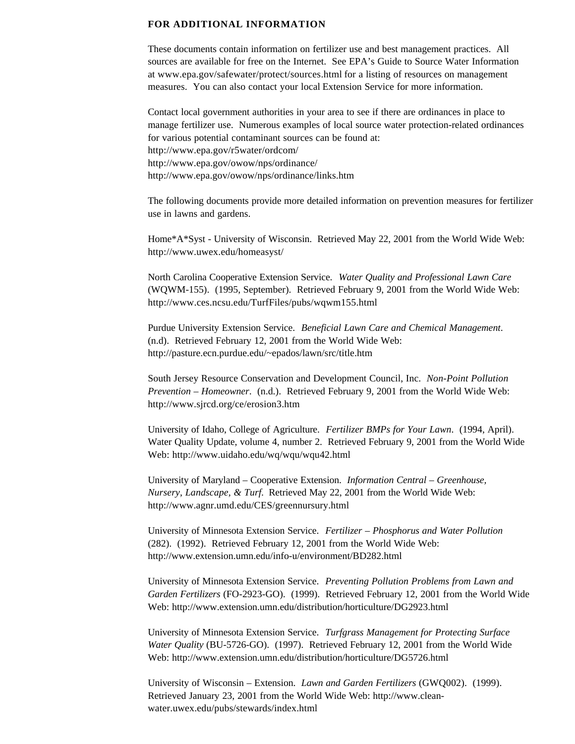#### **FOR ADDITIONAL INFORMATION**

These documents contain information on fertilizer use and best management practices. All sources are available for free on the Internet. See EPA's Guide to Source Water Information at www.epa.gov/safewater/protect/sources.html for a listing of resources on management measures. You can also contact your local Extension Service for more information.

Contact local government authorities in your area to see if there are ordinances in place to manage fertilizer use. Numerous examples of local source water protection-related ordinances for various potential contaminant sources can be found at: http://www.epa.gov/r5water/ordcom/ http://www.epa.gov/owow/nps/ordinance/ http://www.epa.gov/owow/nps/ordinance/links.htm

The following documents provide more detailed information on prevention measures for fertilizer use in lawns and gardens.

Home\*A\*Syst - University of Wisconsin. Retrieved May 22, 2001 from the World Wide Web: http://www.uwex.edu/homeasyst/

North Carolina Cooperative Extension Service. *Water Quality and Professional Lawn Care* (WQWM-155). (1995, September). Retrieved February 9, 2001 from the World Wide Web: http://www.ces.ncsu.edu/TurfFiles/pubs/wqwm155.html

Purdue University Extension Service. *Beneficial Lawn Care and Chemical Management*. (n.d). Retrieved February 12, 2001 from the World Wide Web: http://pasture.ecn.purdue.edu/~epados/lawn/src/title.htm

South Jersey Resource Conservation and Development Council, Inc. *Non-Point Pollution Prevention – Homeowner*. (n.d.). Retrieved February 9, 2001 from the World Wide Web: http://www.sjrcd.org/ce/erosion3.htm

University of Idaho, College of Agriculture. *Fertilizer BMPs for Your Lawn*. (1994, April). Water Quality Update, volume 4, number 2. Retrieved February 9, 2001 from the World Wide Web: http://www.uidaho.edu/wq/wqu/wqu42.html

University of Maryland – Cooperative Extension. *Information Central – Greenhouse, Nursery, Landscape, & Turf.* Retrieved May 22, 2001 from the World Wide Web: http://www.agnr.umd.edu/CES/greennursury.html

University of Minnesota Extension Service. *Fertilizer – Phosphorus and Water Pollution* (282). (1992). Retrieved February 12, 2001 from the World Wide Web: http://www.extension.umn.edu/info-u/environment/BD282.html

University of Minnesota Extension Service. *Preventing Pollution Problems from Lawn and Garden Fertilizers* (FO-2923-GO). (1999). Retrieved February 12, 2001 from the World Wide Web: http://www.extension.umn.edu/distribution/horticulture/DG2923.html

University of Minnesota Extension Service. *Turfgrass Management for Protecting Surface Water Quality* (BU-5726-GO). (1997). Retrieved February 12, 2001 from the World Wide Web: http://www.extension.umn.edu/distribution/horticulture/DG5726.html

University of Wisconsin – Extension. *Lawn and Garden Fertilizers* (GWQ002). (1999). Retrieved January 23, 2001 from the World Wide Web: http://www.cleanwater.uwex.edu/pubs/stewards/index.html